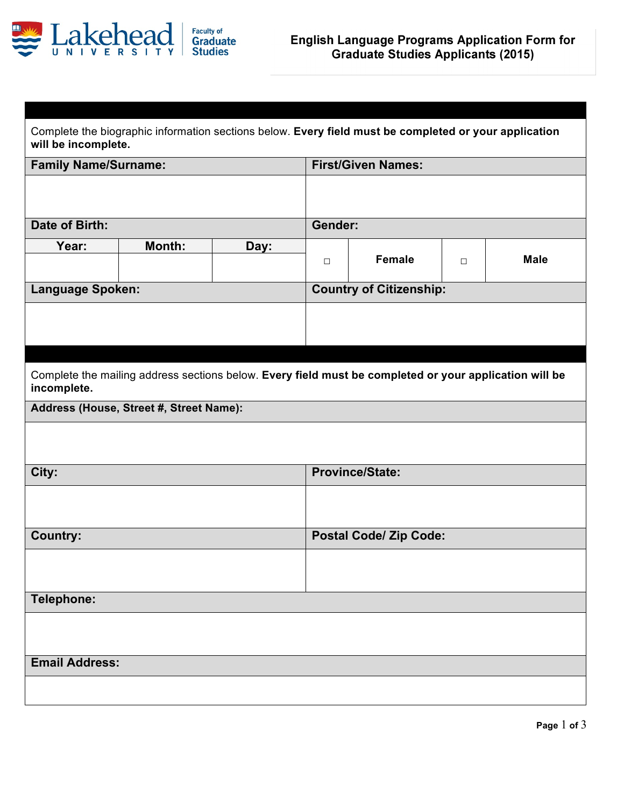

| Complete the biographic information sections below. Every field must be completed or your application<br>will be incomplete. |                                                                                                        |      |                               |                                |        |             |  |
|------------------------------------------------------------------------------------------------------------------------------|--------------------------------------------------------------------------------------------------------|------|-------------------------------|--------------------------------|--------|-------------|--|
| <b>Family Name/Surname:</b>                                                                                                  |                                                                                                        |      | <b>First/Given Names:</b>     |                                |        |             |  |
|                                                                                                                              |                                                                                                        |      |                               |                                |        |             |  |
| Date of Birth:                                                                                                               |                                                                                                        |      | <b>Gender:</b>                |                                |        |             |  |
| Year:                                                                                                                        | Month:                                                                                                 | Day: | $\Box$                        | <b>Female</b>                  | $\Box$ | <b>Male</b> |  |
| Language Spoken:                                                                                                             |                                                                                                        |      |                               | <b>Country of Citizenship:</b> |        |             |  |
|                                                                                                                              |                                                                                                        |      |                               |                                |        |             |  |
|                                                                                                                              |                                                                                                        |      |                               |                                |        |             |  |
| incomplete.                                                                                                                  | Complete the mailing address sections below. Every field must be completed or your application will be |      |                               |                                |        |             |  |
|                                                                                                                              | Address (House, Street #, Street Name):                                                                |      |                               |                                |        |             |  |
|                                                                                                                              |                                                                                                        |      |                               |                                |        |             |  |
| City:                                                                                                                        |                                                                                                        |      |                               | <b>Province/State:</b>         |        |             |  |
|                                                                                                                              |                                                                                                        |      |                               |                                |        |             |  |
| <b>Country:</b>                                                                                                              |                                                                                                        |      | <b>Postal Code/ Zip Code:</b> |                                |        |             |  |
|                                                                                                                              |                                                                                                        |      |                               |                                |        |             |  |
| Telephone:                                                                                                                   |                                                                                                        |      |                               |                                |        |             |  |
|                                                                                                                              |                                                                                                        |      |                               |                                |        |             |  |
| <b>Email Address:</b>                                                                                                        |                                                                                                        |      |                               |                                |        |             |  |
|                                                                                                                              |                                                                                                        |      |                               |                                |        |             |  |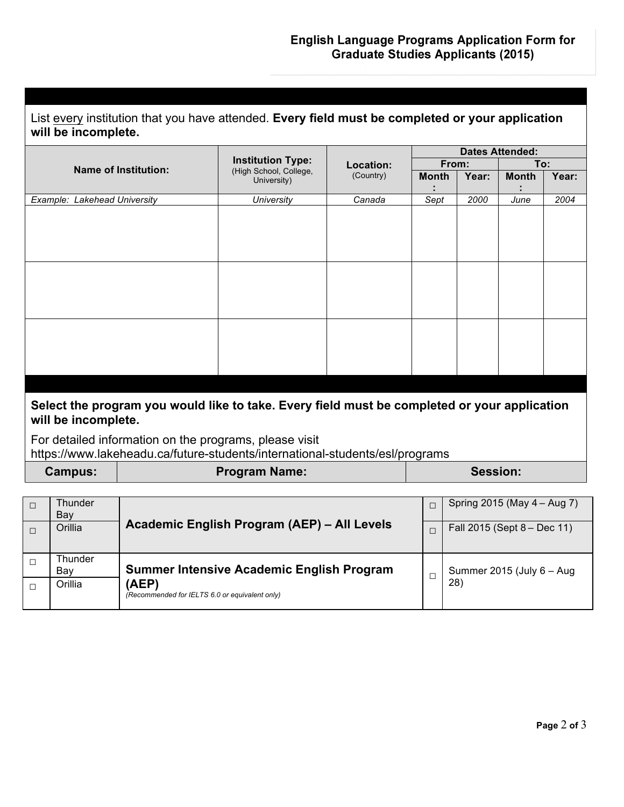| List every institution that you have attended. Every field must be completed or your application |
|--------------------------------------------------------------------------------------------------|
| will be incomplete.                                                                              |

|                                                                                                                     |                                                                   |           | <b>Dates Attended:</b> |       |              |       |  |
|---------------------------------------------------------------------------------------------------------------------|-------------------------------------------------------------------|-----------|------------------------|-------|--------------|-------|--|
| <b>Name of Institution:</b>                                                                                         | <b>Institution Type:</b><br>(High School, College,<br>University) | Location: | From:<br>To:           |       |              |       |  |
|                                                                                                                     |                                                                   | (Country) | <b>Month</b>           | Year: | <b>Month</b> | Year: |  |
|                                                                                                                     |                                                                   |           |                        |       |              |       |  |
| Example: Lakehead University                                                                                        | University                                                        | Canada    | Sept                   | 2000  | June         | 2004  |  |
|                                                                                                                     |                                                                   |           |                        |       |              |       |  |
|                                                                                                                     |                                                                   |           |                        |       |              |       |  |
|                                                                                                                     |                                                                   |           |                        |       |              |       |  |
|                                                                                                                     |                                                                   |           |                        |       |              |       |  |
|                                                                                                                     |                                                                   |           |                        |       |              |       |  |
|                                                                                                                     |                                                                   |           |                        |       |              |       |  |
|                                                                                                                     |                                                                   |           |                        |       |              |       |  |
|                                                                                                                     |                                                                   |           |                        |       |              |       |  |
|                                                                                                                     |                                                                   |           |                        |       |              |       |  |
|                                                                                                                     |                                                                   |           |                        |       |              |       |  |
|                                                                                                                     |                                                                   |           |                        |       |              |       |  |
|                                                                                                                     |                                                                   |           |                        |       |              |       |  |
|                                                                                                                     |                                                                   |           |                        |       |              |       |  |
|                                                                                                                     |                                                                   |           |                        |       |              |       |  |
|                                                                                                                     |                                                                   |           |                        |       |              |       |  |
|                                                                                                                     |                                                                   |           |                        |       |              |       |  |
| Select the program you would like to take. Every field must be completed or your application<br>will be incomplete. |                                                                   |           |                        |       |              |       |  |
| For detailed information on the programs please visit                                                               |                                                                   |           |                        |       |              |       |  |

For detailed information on the programs, please visit https://www.lakeheadu.ca/future-students/international-students/esl/programs

| <b>Campus:</b> | <b>Program Name:</b> | Session: |
|----------------|----------------------|----------|

| Thunder<br>Bay | Academic English Program (AEP) - All Levels                                                                 |  | Spring 2015 (May 4 – Aug 7)         |
|----------------|-------------------------------------------------------------------------------------------------------------|--|-------------------------------------|
| Orillia        |                                                                                                             |  | Fall 2015 (Sept 8 – Dec 11)         |
| Thunder<br>Bay | <b>Summer Intensive Academic English Program</b><br>(AEP)<br>(Recommended for IELTS 6.0 or equivalent only) |  | Summer 2015 (July $6 - Aug$<br>(28) |
| Orillia        |                                                                                                             |  |                                     |